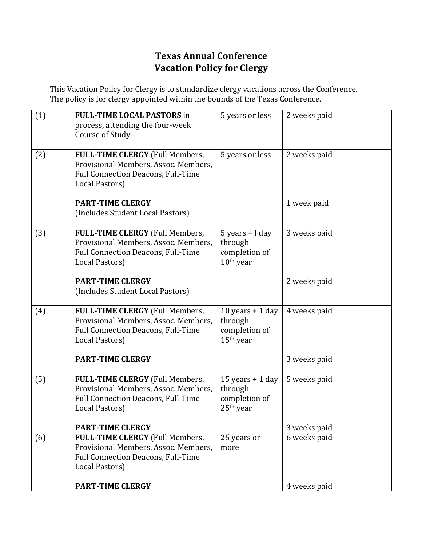## **Texas Annual Conference Vacation Policy for Clergy**

This Vacation Policy for Clergy is to standardize clergy vacations across the Conference. The policy is for clergy appointed within the bounds of the Texas Conference.

| (1) | <b>FULL-TIME LOCAL PASTORS in</b><br>process, attending the four-week<br>Course of Study                                                      | 5 years or less                                                         | 2 weeks paid |
|-----|-----------------------------------------------------------------------------------------------------------------------------------------------|-------------------------------------------------------------------------|--------------|
| (2) | <b>FULL-TIME CLERGY (Full Members,</b><br>Provisional Members, Assoc. Members,<br>Full Connection Deacons, Full-Time<br>Local Pastors)        | 5 years or less                                                         | 2 weeks paid |
|     | <b>PART-TIME CLERGY</b><br>(Includes Student Local Pastors)                                                                                   |                                                                         | 1 week paid  |
| (3) | <b>FULL-TIME CLERGY (Full Members,</b><br>Provisional Members, Assoc. Members,<br><b>Full Connection Deacons, Full-Time</b><br>Local Pastors) | $5$ years + I day<br>through<br>completion of<br>$10th$ year            | 3 weeks paid |
|     | <b>PART-TIME CLERGY</b><br>(Includes Student Local Pastors)                                                                                   |                                                                         | 2 weeks paid |
| (4) | <b>FULL-TIME CLERGY (Full Members,</b><br>Provisional Members, Assoc. Members,<br><b>Full Connection Deacons, Full-Time</b><br>Local Pastors) | 10 years $+$ 1 day<br>through<br>completion of<br>15 <sup>th</sup> year | 4 weeks paid |
|     | <b>PART-TIME CLERGY</b>                                                                                                                       |                                                                         | 3 weeks paid |
| (5) | FULL-TIME CLERGY (Full Members,<br>Provisional Members, Assoc. Members,<br><b>Full Connection Deacons, Full-Time</b><br>Local Pastors)        | 15 years $+$ 1 day<br>through<br>completion of<br>25 <sup>th</sup> year | 5 weeks paid |
|     | <b>PART-TIME CLERGY</b>                                                                                                                       |                                                                         | 3 weeks paid |
| (6) | FULL-TIME CLERGY (Full Members,<br>Provisional Members, Assoc. Members,<br><b>Full Connection Deacons, Full-Time</b><br>Local Pastors)        | 25 years or<br>more                                                     | 6 weeks paid |
|     | <b>PART-TIME CLERGY</b>                                                                                                                       |                                                                         | 4 weeks paid |